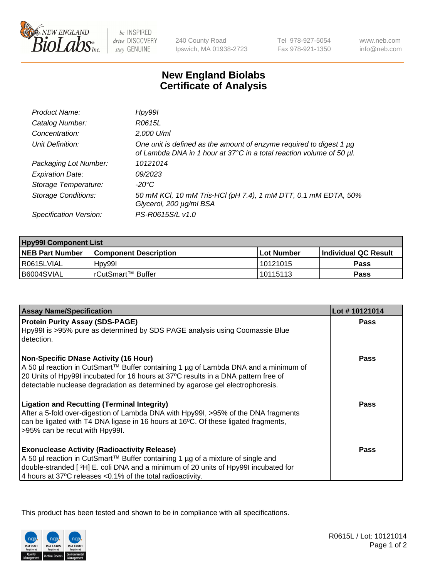

be INSPIRED drive DISCOVERY stay GENUINE

240 County Road Ipswich, MA 01938-2723 Tel 978-927-5054 Fax 978-921-1350

www.neb.com info@neb.com

## **New England Biolabs Certificate of Analysis**

| Product Name:              | Hpy99l                                                                                                                                      |
|----------------------------|---------------------------------------------------------------------------------------------------------------------------------------------|
| Catalog Number:            | R0615L                                                                                                                                      |
| Concentration:             | 2,000 U/ml                                                                                                                                  |
| Unit Definition:           | One unit is defined as the amount of enzyme required to digest 1 µg<br>of Lambda DNA in 1 hour at 37°C in a total reaction volume of 50 µl. |
| Packaging Lot Number:      | 10121014                                                                                                                                    |
| <b>Expiration Date:</b>    | 09/2023                                                                                                                                     |
| Storage Temperature:       | -20°C                                                                                                                                       |
| <b>Storage Conditions:</b> | 50 mM KCl, 10 mM Tris-HCl (pH 7.4), 1 mM DTT, 0.1 mM EDTA, 50%<br>Glycerol, 200 µg/ml BSA                                                   |
| Specification Version:     | PS-R0615S/L v1.0                                                                                                                            |

| <b>Hpy99I Component List</b> |                         |              |                             |  |
|------------------------------|-------------------------|--------------|-----------------------------|--|
| <b>NEB Part Number</b>       | l Component Description | l Lot Number | <b>Individual QC Result</b> |  |
| I R0615LVIAL                 | Hpv99I                  | 10121015     | Pass                        |  |
| B6004SVIAL                   | l rCutSmart™ Buffer     | 10115113     | Pass                        |  |

| <b>Assay Name/Specification</b>                                                                                                                                                                                                                                                                            | Lot #10121014 |
|------------------------------------------------------------------------------------------------------------------------------------------------------------------------------------------------------------------------------------------------------------------------------------------------------------|---------------|
| <b>Protein Purity Assay (SDS-PAGE)</b><br>Hpy99I is >95% pure as determined by SDS PAGE analysis using Coomassie Blue<br>detection.                                                                                                                                                                        | <b>Pass</b>   |
| <b>Non-Specific DNase Activity (16 Hour)</b><br>A 50 µl reaction in CutSmart™ Buffer containing 1 µg of Lambda DNA and a minimum of<br>20 Units of Hpy99I incubated for 16 hours at 37°C results in a DNA pattern free of<br>detectable nuclease degradation as determined by agarose gel electrophoresis. | <b>Pass</b>   |
| <b>Ligation and Recutting (Terminal Integrity)</b><br>After a 5-fold over-digestion of Lambda DNA with Hpy99I, >95% of the DNA fragments<br>can be ligated with T4 DNA ligase in 16 hours at 16°C. Of these ligated fragments,<br>>95% can be recut with Hpy99I.                                           | <b>Pass</b>   |
| <b>Exonuclease Activity (Radioactivity Release)</b><br>A 50 µl reaction in CutSmart™ Buffer containing 1 µg of a mixture of single and<br>double-stranded [3H] E. coli DNA and a minimum of 20 units of Hpy99I incubated for<br>4 hours at 37°C releases <0.1% of the total radioactivity.                 | Pass          |

This product has been tested and shown to be in compliance with all specifications.